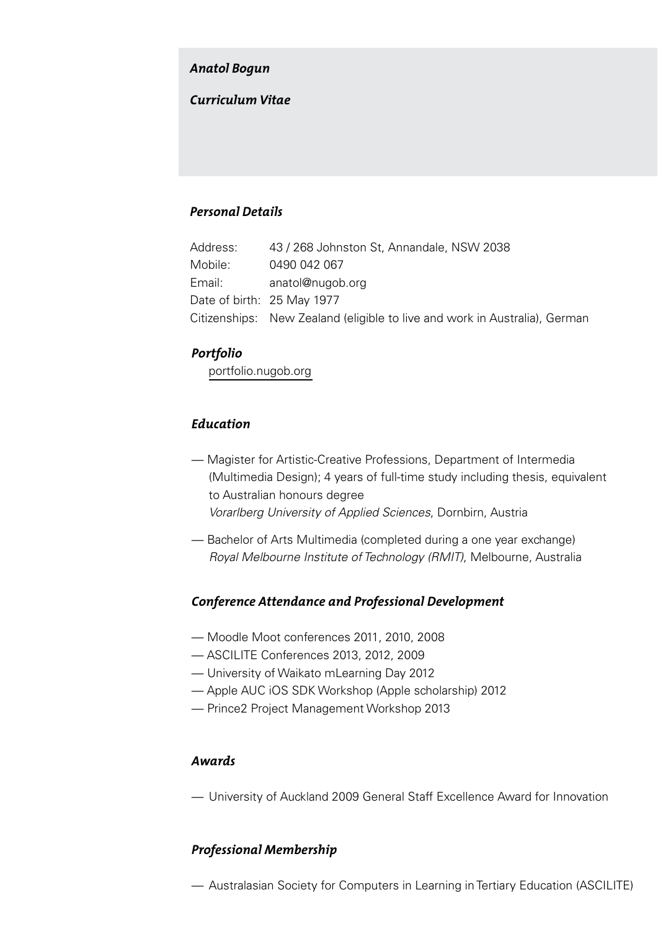#### *Anatol Bogun*

## *Curriculum Vitae*

# *Personal Details*

| Address: | 43 / 268 Johnston St, Annandale, NSW 2038                                  |
|----------|----------------------------------------------------------------------------|
| Mobile:  | 0490 042 067                                                               |
| Email:   | anatol@nugob.org                                                           |
|          | Date of birth: 25 May 1977                                                 |
|          | Citizenships: New Zealand (eligible to live and work in Australia), German |

## *Portfolio*

[portfolio.nugob.org](http://portfolio.nugob.org)

# *Education*

- Magister for Artistic-Creative Professions, Department of Intermedia (Multimedia Design); 4 years of full-time study including thesis, equivalent to Australian honours degree *Vorarlberg University of Applied Sciences*, Dornbirn, Austria
- Bachelor of Arts Multimedia (completed during a one year exchange) *Royal Melbourne Institute of Technology (RMIT)*, Melbourne, Australia

## *Conference Attendance and Professional Development*

- Moodle Moot conferences 2011, 2010, 2008
- ASCILITE Conferences 2013, 2012, 2009
- University of Waikato mLearning Day 2012
- Apple AUC iOS SDK Workshop (Apple scholarship) 2012
- Prince2 Project Management Workshop 2013

#### *Awards*

— University of Auckland 2009 General Staff Excellence Award for Innovation

## *Professional Membership*

— Australasian Society for Computers in Learning in Tertiary Education (ASCILITE)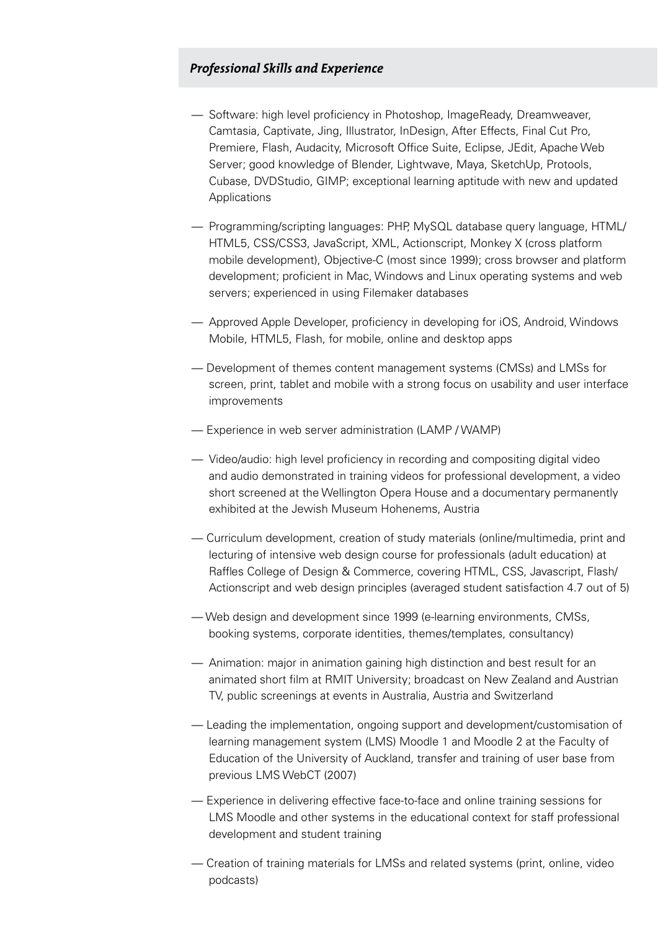## *Professional Skills and Experience*

- Software: high level proficiency in Photoshop, ImageReady, Dreamweaver, Camtasia, Captivate, Jing, Illustrator, InDesign, After Effects, Final Cut Pro, Premiere, Flash, Audacity, Microsoft Office Suite, Eclipse, JEdit, Apache Web Server; good knowledge of Blender, Lightwave, Maya, SketchUp, Protools, Cubase, DVDStudio, GIMP; exceptional learning aptitude with new and updated Applications
- Programming/scripting languages: PHP, MySQL database query language, HTML/ HTML5, CSS/CSS3, JavaScript, XML, Actionscript, Monkey X (cross platform mobile development), Objective-C (most since 1999); cross browser and platform development; proficient in Mac, Windows and Linux operating systems and web servers; experienced in using Filemaker databases
- Approved Apple Developer, proficiency in developing for iOS, Android, Windows Mobile, HTML5, Flash, for mobile, online and desktop apps
- Development of themes content management systems (CMSs) and LMSs for screen, print, tablet and mobile with a strong focus on usability and user interface improvements
- Experience in web server administration (LAMP / WAMP)
- Video/audio: high level proficiency in recording and compositing digital video and audio demonstrated in training videos for professional development, a video short screened at the Wellington Opera House and a documentary permanently exhibited at the Jewish Museum Hohenems, Austria
- Curriculum development, creation of study materials (online/multimedia, print and lecturing of intensive web design course for professionals (adult education) at Raffles College of Design & Commerce, covering HTML, CSS, Javascript, Flash/ Actionscript and web design principles (averaged student satisfaction 4.7 out of 5)
- Web design and development since 1999 (e-learning environments, CMSs, booking systems, corporate identities, themes/templates, consultancy)
- Animation: major in animation gaining high distinction and best result for an animated short film at RMIT University; broadcast on New Zealand and Austrian TV, public screenings at events in Australia, Austria and Switzerland
- Leading the implementation, ongoing support and development/customisation of learning management system (LMS) Moodle 1 and Moodle 2 at the Faculty of Education of the University of Auckland, transfer and training of user base from previous LMS WebCT (2007)
- Experience in delivering effective face-to-face and online training sessions for LMS Moodle and other systems in the educational context for staff professional development and student training
- Creation of training materials for LMSs and related systems (print, online, video podcasts)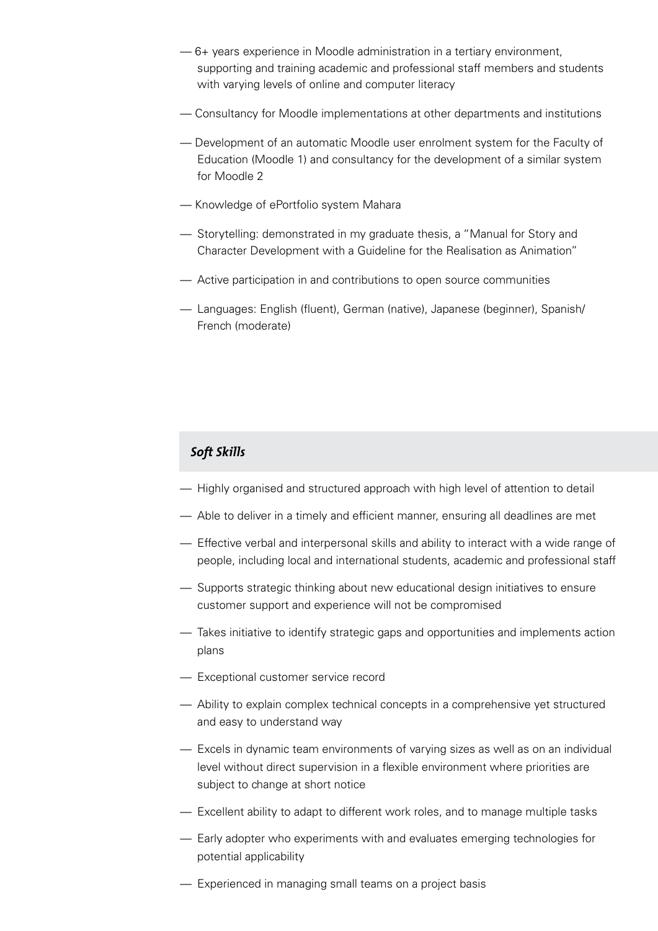- 6+ years experience in Moodle administration in a tertiary environment, supporting and training academic and professional staff members and students with varying levels of online and computer literacy
- Consultancy for Moodle implementations at other departments and institutions
- Development of an automatic Moodle user enrolment system for the Faculty of Education (Moodle 1) and consultancy for the development of a similar system for Moodle 2
- Knowledge of ePortfolio system Mahara
- Storytelling: demonstrated in my graduate thesis, a "Manual for Story and Character Development with a Guideline for the Realisation as Animation"
- Active participation in and contributions to open source communities
- Languages: English (fluent), German (native), Japanese (beginner), Spanish/ French (moderate)

## *Soft Skills*

- Highly organised and structured approach with high level of attention to detail
- Able to deliver in a timely and efficient manner, ensuring all deadlines are met
- Effective verbal and interpersonal skills and ability to interact with a wide range of people, including local and international students, academic and professional staff
- Supports strategic thinking about new educational design initiatives to ensure customer support and experience will not be compromised
- Takes initiative to identify strategic gaps and opportunities and implements action plans
- Exceptional customer service record
- Ability to explain complex technical concepts in a comprehensive yet structured and easy to understand way
- Excels in dynamic team environments of varying sizes as well as on an individual level without direct supervision in a flexible environment where priorities are subject to change at short notice
- Excellent ability to adapt to different work roles, and to manage multiple tasks
- Early adopter who experiments with and evaluates emerging technologies for potential applicability
- Experienced in managing small teams on a project basis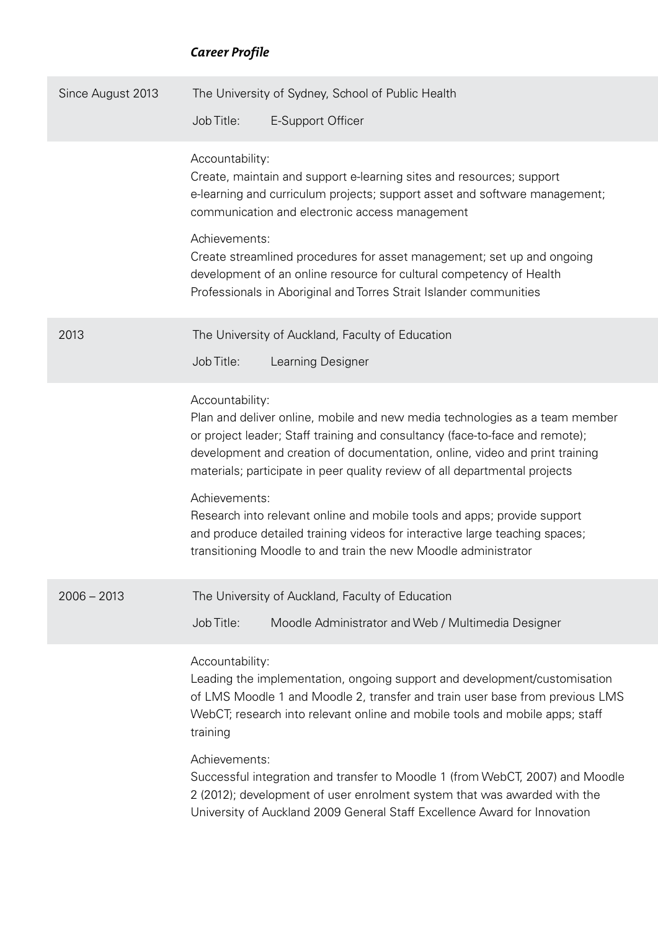# *Career Profile*

| Since August 2013 | The University of Sydney, School of Public Health                                                                                                                                                                                                                                                                                                                                                                                                                                                                                                                                         |
|-------------------|-------------------------------------------------------------------------------------------------------------------------------------------------------------------------------------------------------------------------------------------------------------------------------------------------------------------------------------------------------------------------------------------------------------------------------------------------------------------------------------------------------------------------------------------------------------------------------------------|
|                   | Job Title:<br>E-Support Officer                                                                                                                                                                                                                                                                                                                                                                                                                                                                                                                                                           |
|                   | Accountability:<br>Create, maintain and support e-learning sites and resources; support<br>e-learning and curriculum projects; support asset and software management;<br>communication and electronic access management                                                                                                                                                                                                                                                                                                                                                                   |
|                   | Achievements:<br>Create streamlined procedures for asset management; set up and ongoing<br>development of an online resource for cultural competency of Health<br>Professionals in Aboriginal and Torres Strait Islander communities                                                                                                                                                                                                                                                                                                                                                      |
| 2013              | The University of Auckland, Faculty of Education<br>Job Title:<br>Learning Designer                                                                                                                                                                                                                                                                                                                                                                                                                                                                                                       |
|                   | Accountability:<br>Plan and deliver online, mobile and new media technologies as a team member<br>or project leader; Staff training and consultancy (face-to-face and remote);<br>development and creation of documentation, online, video and print training<br>materials; participate in peer quality review of all departmental projects<br>Achievements:<br>Research into relevant online and mobile tools and apps; provide support<br>and produce detailed training videos for interactive large teaching spaces;<br>transitioning Moodle to and train the new Moodle administrator |
| $2006 - 2013$     | The University of Auckland, Faculty of Education<br>Job Title:<br>Moodle Administrator and Web / Multimedia Designer                                                                                                                                                                                                                                                                                                                                                                                                                                                                      |
|                   | Accountability:<br>Leading the implementation, ongoing support and development/customisation<br>of LMS Moodle 1 and Moodle 2, transfer and train user base from previous LMS<br>WebCT; research into relevant online and mobile tools and mobile apps; staff<br>training                                                                                                                                                                                                                                                                                                                  |
|                   | Achievements:<br>Successful integration and transfer to Moodle 1 (from WebCT, 2007) and Moodle<br>2 (2012); development of user enrolment system that was awarded with the<br>University of Auckland 2009 General Staff Excellence Award for Innovation                                                                                                                                                                                                                                                                                                                                   |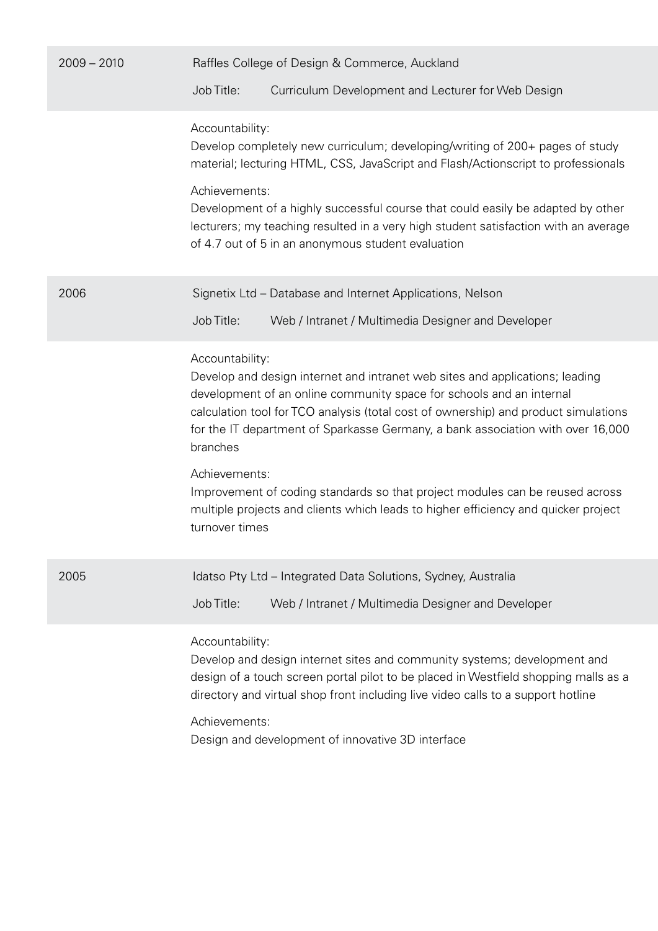| $2009 - 2010$ | Raffles College of Design & Commerce, Auckland                                                                                                                                                                                                                                                                                                                                                                                                                                                                                                                         |
|---------------|------------------------------------------------------------------------------------------------------------------------------------------------------------------------------------------------------------------------------------------------------------------------------------------------------------------------------------------------------------------------------------------------------------------------------------------------------------------------------------------------------------------------------------------------------------------------|
|               | Curriculum Development and Lecturer for Web Design<br>Job Title:                                                                                                                                                                                                                                                                                                                                                                                                                                                                                                       |
|               | Accountability:<br>Develop completely new curriculum; developing/writing of 200+ pages of study<br>material; lecturing HTML, CSS, JavaScript and Flash/Actionscript to professionals<br>Achievements:<br>Development of a highly successful course that could easily be adapted by other<br>lecturers; my teaching resulted in a very high student satisfaction with an average<br>of 4.7 out of 5 in an anonymous student evaluation                                                                                                                                  |
| 2006          | Signetix Ltd - Database and Internet Applications, Nelson<br>Job Title:<br>Web / Intranet / Multimedia Designer and Developer                                                                                                                                                                                                                                                                                                                                                                                                                                          |
|               | Accountability:<br>Develop and design internet and intranet web sites and applications; leading<br>development of an online community space for schools and an internal<br>calculation tool for TCO analysis (total cost of ownership) and product simulations<br>for the IT department of Sparkasse Germany, a bank association with over 16,000<br>branches<br>Achievements:<br>Improvement of coding standards so that project modules can be reused across<br>multiple projects and clients which leads to higher efficiency and quicker project<br>turnover times |
| 2005          | Idatso Pty Ltd - Integrated Data Solutions, Sydney, Australia<br>Job Title:<br>Web / Intranet / Multimedia Designer and Developer                                                                                                                                                                                                                                                                                                                                                                                                                                      |
|               | Accountability:<br>Develop and design internet sites and community systems; development and<br>design of a touch screen portal pilot to be placed in Westfield shopping malls as a<br>directory and virtual shop front including live video calls to a support hotline<br>Achievements:<br>Design and development of innovative 3D interface                                                                                                                                                                                                                           |